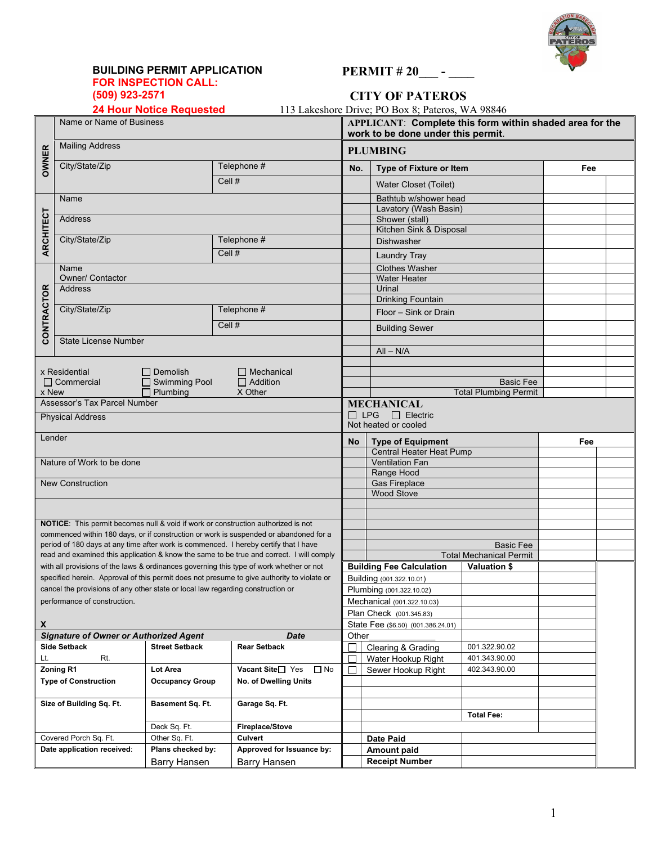

# **BUILDING PERMIT APPLICATION FOR INSPECTION CALL:**<br> **FOR INSPECTION CALL:**<br> **FOR INSPECTION CALL:**<br> **FOR 923-2571**<br> **CITY OF PATEROS**

## **(509) 923-2571 CITY OF PATEROS**

| <b>24 Hour Notice Requested</b> |  |  |
|---------------------------------|--|--|
|---------------------------------|--|--|

113 Lakeshore Drive; PO Box 8; Pateros, WA 98846

|                                     | Name or Name of Business                                                        |                               |                                                                                                                                                                                     |                      | APPLICANT: Complete this form within shaded area for the<br>work to be done under this permit. |                                                |     |  |  |  |
|-------------------------------------|---------------------------------------------------------------------------------|-------------------------------|-------------------------------------------------------------------------------------------------------------------------------------------------------------------------------------|----------------------|------------------------------------------------------------------------------------------------|------------------------------------------------|-----|--|--|--|
|                                     | <b>Mailing Address</b>                                                          |                               |                                                                                                                                                                                     |                      | <b>PLUMBING</b>                                                                                |                                                |     |  |  |  |
| <b>OWNER</b>                        | City/State/Zip                                                                  |                               | Telephone #                                                                                                                                                                         | No.                  | <b>Type of Fixture or Item</b>                                                                 |                                                | Fee |  |  |  |
|                                     |                                                                                 |                               | Cell #                                                                                                                                                                              |                      | <b>Water Closet (Toilet)</b>                                                                   |                                                |     |  |  |  |
|                                     | Name                                                                            |                               |                                                                                                                                                                                     |                      | Bathtub w/shower head                                                                          |                                                |     |  |  |  |
|                                     |                                                                                 |                               |                                                                                                                                                                                     |                      | Lavatory (Wash Basin)                                                                          |                                                |     |  |  |  |
|                                     | Address                                                                         |                               |                                                                                                                                                                                     |                      | Shower (stall)<br>Kitchen Sink & Disposal                                                      |                                                |     |  |  |  |
|                                     | City/State/Zip                                                                  |                               | Telephone #                                                                                                                                                                         |                      | Dishwasher                                                                                     |                                                |     |  |  |  |
| <b>ARCHITECT</b>                    |                                                                                 |                               | Cell #                                                                                                                                                                              |                      |                                                                                                |                                                |     |  |  |  |
|                                     | Name                                                                            |                               |                                                                                                                                                                                     |                      | <b>Laundry Tray</b><br><b>Clothes Washer</b>                                                   |                                                |     |  |  |  |
|                                     | <b>Owner/ Contactor</b>                                                         |                               |                                                                                                                                                                                     |                      | <b>Water Heater</b>                                                                            |                                                |     |  |  |  |
|                                     | Address                                                                         |                               |                                                                                                                                                                                     |                      | Urinal                                                                                         |                                                |     |  |  |  |
|                                     |                                                                                 |                               |                                                                                                                                                                                     |                      | <b>Drinking Fountain</b>                                                                       |                                                |     |  |  |  |
|                                     | City/State/Zip                                                                  |                               | Telephone #                                                                                                                                                                         |                      | Floor - Sink or Drain                                                                          |                                                |     |  |  |  |
| CONTRACTOR                          |                                                                                 |                               | Cell #                                                                                                                                                                              |                      | <b>Building Sewer</b>                                                                          |                                                |     |  |  |  |
|                                     | <b>State License Number</b>                                                     |                               |                                                                                                                                                                                     |                      |                                                                                                |                                                |     |  |  |  |
|                                     |                                                                                 |                               |                                                                                                                                                                                     |                      | $All - N/A$                                                                                    |                                                |     |  |  |  |
|                                     | x Residential                                                                   | Demolish                      | $\Box$ Mechanical                                                                                                                                                                   |                      |                                                                                                |                                                |     |  |  |  |
|                                     | $\Box$ Commercial                                                               | $\Box$ Swimming Pool          | $\Box$ Addition                                                                                                                                                                     |                      |                                                                                                | <b>Basic Fee</b>                               |     |  |  |  |
| x New<br>$\Box$ Plumbing<br>X Other |                                                                                 |                               |                                                                                                                                                                                     |                      |                                                                                                | <b>Total Plumbing Permit</b>                   |     |  |  |  |
| Assessor's Tax Parcel Number        |                                                                                 |                               |                                                                                                                                                                                     |                      | <b>MECHANICAL</b>                                                                              |                                                |     |  |  |  |
| <b>Physical Address</b>             |                                                                                 | $\Box$ LPG                    | $\Box$ Electric                                                                                                                                                                     |                      |                                                                                                |                                                |     |  |  |  |
| Lender                              |                                                                                 |                               |                                                                                                                                                                                     | Not heated or cooled |                                                                                                |                                                |     |  |  |  |
|                                     |                                                                                 | No                            | <b>Type of Equipment</b>                                                                                                                                                            |                      |                                                                                                |                                                |     |  |  |  |
|                                     | Nature of Work to be done                                                       |                               |                                                                                                                                                                                     |                      | Central Heater Heat Pump<br><b>Ventilation Fan</b>                                             |                                                |     |  |  |  |
|                                     |                                                                                 |                               |                                                                                                                                                                                     |                      | Range Hood                                                                                     |                                                |     |  |  |  |
|                                     | <b>New Construction</b>                                                         |                               |                                                                                                                                                                                     |                      | <b>Gas Fireplace</b>                                                                           |                                                |     |  |  |  |
|                                     |                                                                                 |                               |                                                                                                                                                                                     |                      | <b>Wood Stove</b>                                                                              |                                                |     |  |  |  |
|                                     |                                                                                 |                               |                                                                                                                                                                                     |                      |                                                                                                |                                                |     |  |  |  |
|                                     |                                                                                 |                               | NOTICE: This permit becomes null & void if work or construction authorized is not                                                                                                   |                      |                                                                                                |                                                |     |  |  |  |
|                                     |                                                                                 |                               | commenced within 180 days, or if construction or work is suspended or abandoned for a                                                                                               |                      |                                                                                                |                                                |     |  |  |  |
|                                     |                                                                                 |                               | period of 180 days at any time after work is commenced. I hereby certify that I have                                                                                                |                      |                                                                                                | <b>Basic Fee</b>                               |     |  |  |  |
|                                     |                                                                                 |                               | read and examined this application & know the same to be true and correct. I will comply<br>with all provisions of the laws & ordinances governing this type of work whether or not |                      | <b>Building Fee Calculation</b>                                                                | <b>Total Mechanical Permit</b><br>Valuation \$ |     |  |  |  |
|                                     |                                                                                 |                               | specified herein. Approval of this permit does not presume to give authority to violate or                                                                                          |                      | Building (001.322.10.01)                                                                       |                                                |     |  |  |  |
|                                     | cancel the provisions of any other state or local law regarding construction or |                               |                                                                                                                                                                                     |                      | Plumbing (001.322.10.02)                                                                       |                                                |     |  |  |  |
|                                     | performance of construction.                                                    |                               |                                                                                                                                                                                     |                      | Mechanical (001.322.10.03)                                                                     |                                                |     |  |  |  |
|                                     |                                                                                 |                               |                                                                                                                                                                                     |                      | Plan Check (001.345.83)                                                                        |                                                |     |  |  |  |
| $\boldsymbol{\mathsf{x}}$           |                                                                                 |                               |                                                                                                                                                                                     |                      | State Fee (\$6.50) (001.386.24.01)                                                             |                                                |     |  |  |  |
|                                     | <b>Signature of Owner or Authorized Agent</b><br><b>Side Setback</b>            | <b>Street Setback</b>         | <b>Date</b><br><b>Rear Setback</b>                                                                                                                                                  | Other                |                                                                                                |                                                |     |  |  |  |
| Lt.                                 | Rt.                                                                             |                               |                                                                                                                                                                                     | Г                    | Clearing & Grading<br>Water Hookup Right                                                       | 001.322.90.02<br>401.343.90.00                 |     |  |  |  |
|                                     | Zoning R1                                                                       | Lot Area                      | Vacant Site□ Yes<br>$\Box$ No                                                                                                                                                       | П                    | Sewer Hookup Right                                                                             | 402.343.90.00                                  |     |  |  |  |
|                                     | <b>Type of Construction</b>                                                     | <b>Occupancy Group</b>        | <b>No. of Dwelling Units</b>                                                                                                                                                        |                      |                                                                                                |                                                |     |  |  |  |
|                                     |                                                                                 |                               |                                                                                                                                                                                     |                      |                                                                                                |                                                |     |  |  |  |
|                                     | Size of Building Sq. Ft.                                                        | Basement Sq. Ft.              | Garage Sq. Ft.                                                                                                                                                                      |                      |                                                                                                |                                                |     |  |  |  |
|                                     |                                                                                 |                               |                                                                                                                                                                                     |                      |                                                                                                | <b>Total Fee:</b>                              |     |  |  |  |
|                                     | Covered Porch Sq. Ft.                                                           | Deck Sq. Ft.<br>Other Sq. Ft. | Fireplace/Stove<br>Culvert                                                                                                                                                          |                      |                                                                                                |                                                |     |  |  |  |
|                                     | Date application received:                                                      | Plans checked by:             | Approved for Issuance by:                                                                                                                                                           |                      | <b>Date Paid</b><br>Amount paid                                                                |                                                |     |  |  |  |
|                                     |                                                                                 | Barry Hansen                  | <b>Barry Hansen</b>                                                                                                                                                                 |                      | <b>Receipt Number</b>                                                                          |                                                |     |  |  |  |
|                                     |                                                                                 |                               |                                                                                                                                                                                     |                      |                                                                                                |                                                |     |  |  |  |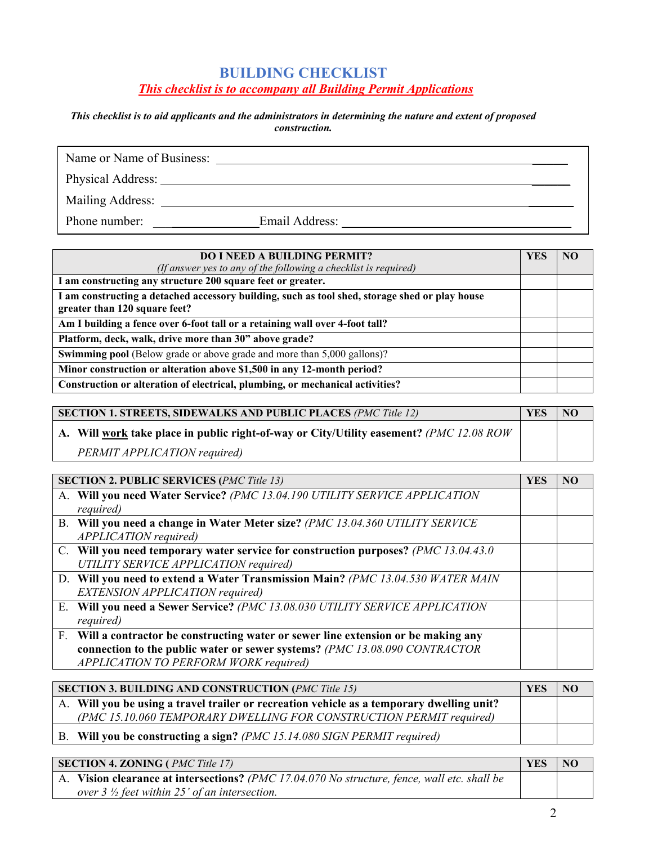## **BUILDING CHECKLIST**  *This checklist is to accompany all Building Permit Applications*

#### *This checklist is to aid applicants and the administrators in determining the nature and extent of proposed construction.*

| Name or Name of Business:   |                |  |
|-----------------------------|----------------|--|
| Physical Address: No. 1996. |                |  |
| Mailing Address:            |                |  |
| Phone number:               | Email Address: |  |

| <b>DO I NEED A BUILDING PERMIT?</b>                                                                                             | YES |  |
|---------------------------------------------------------------------------------------------------------------------------------|-----|--|
| (If answer yes to any of the following a checklist is required)                                                                 |     |  |
| I am constructing any structure 200 square feet or greater.                                                                     |     |  |
| I am constructing a detached accessory building, such as tool shed, storage shed or play house<br>greater than 120 square feet? |     |  |
| Am I building a fence over 6-foot tall or a retaining wall over 4-foot tall?                                                    |     |  |
| Platform, deck, walk, drive more than 30" above grade?                                                                          |     |  |
| <b>Swimming pool</b> (Below grade or above grade and more than 5,000 gallons)?                                                  |     |  |
| Minor construction or alteration above \$1,500 in any 12-month period?                                                          |     |  |
| Construction or alteration of electrical, plumbing, or mechanical activities?                                                   |     |  |

| <b>SECTION 1. STREETS, SIDEWALKS AND PUBLIC PLACES (PMC Title 12)</b> |                                                                                                  |  |  |  |  |  |
|-----------------------------------------------------------------------|--------------------------------------------------------------------------------------------------|--|--|--|--|--|
|                                                                       | A. Will work take place in public right-of-way or City/Utility easement? <i>(PMC 12.08 ROW</i> ) |  |  |  |  |  |
|                                                                       | PERMIT APPLICATION required)                                                                     |  |  |  |  |  |

| <b>SECTION 2. PUBLIC SERVICES (PMC Title 13)</b>                                     | <b>YES</b> | NO |
|--------------------------------------------------------------------------------------|------------|----|
| A. Will you need Water Service? (PMC 13.04.190 UTILITY SERVICE APPLICATION           |            |    |
| <i>required</i> )                                                                    |            |    |
| B. Will you need a change in Water Meter size? (PMC 13.04.360 UTILITY SERVICE        |            |    |
| APPLICATION required)                                                                |            |    |
| C. Will you need temporary water service for construction purposes? (PMC 13.04.43.0) |            |    |
| UTILITY SERVICE APPLICATION required)                                                |            |    |
| D. Will you need to extend a Water Transmission Main? (PMC 13.04.530 WATER MAIN      |            |    |
| <b>EXTENSION APPLICATION required)</b>                                               |            |    |
| E. Will you need a Sewer Service? (PMC 13.08.030 UTILITY SERVICE APPLICATION         |            |    |
| <i>required</i> )                                                                    |            |    |
| F. Will a contractor be constructing water or sewer line extension or be making any  |            |    |
| connection to the public water or sewer systems? (PMC 13.08.090 CONTRACTOR           |            |    |
| APPLICATION TO PERFORM WORK required)                                                |            |    |

| <b>SECTION 3. BUILDING AND CONSTRUCTION (PMC Title 15)</b> |                                                                                           |  |  |
|------------------------------------------------------------|-------------------------------------------------------------------------------------------|--|--|
|                                                            | A. Will you be using a travel trailer or recreation vehicle as a temporary dwelling unit? |  |  |
|                                                            | (PMC 15.10.060 TEMPORARY DWELLING FOR CONSTRUCTION PERMIT required)                       |  |  |
|                                                            | B. Will you be constructing a sign? (PMC 15.14.080 SIGN PERMIT required)                  |  |  |

| <b>SECTION 4. ZONING (PMC Title 17)</b>                                                             | <b>YES</b> | N <sub>O</sub> |
|-----------------------------------------------------------------------------------------------------|------------|----------------|
| $\mid$ A. Vision clearance at intersections? (PMC 17.04.070 No structure, fence, wall etc. shall be |            |                |
| over $3\frac{1}{2}$ feet within 25' of an intersection.                                             |            |                |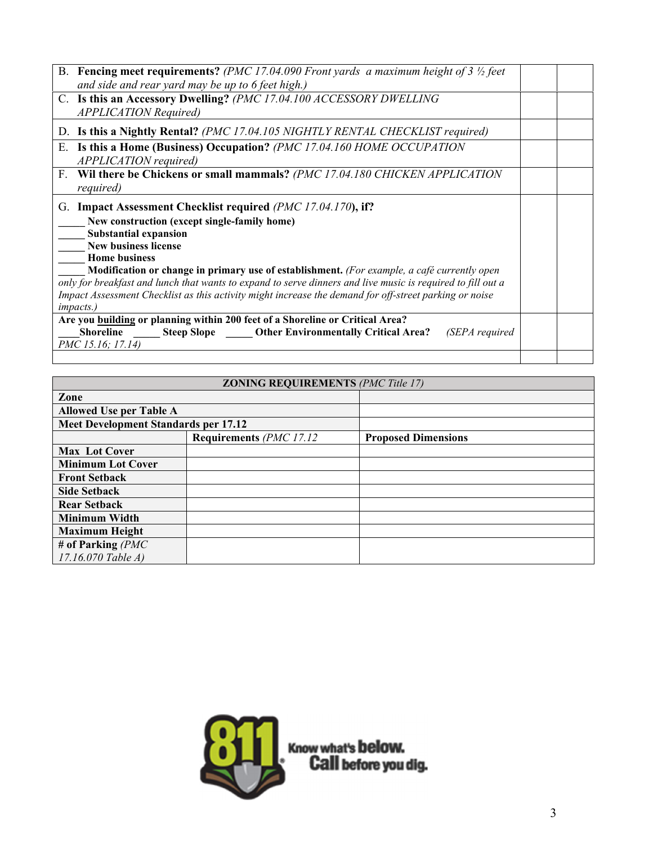| B. Fencing meet requirements? (PMC 17.04.090 Front yards a maximum height of 3 $\frac{1}{2}$ feet<br>and side and rear yard may be up to 6 feet high.) |  |  |  |
|--------------------------------------------------------------------------------------------------------------------------------------------------------|--|--|--|
| C. Is this an Accessory Dwelling? (PMC 17.04.100 ACCESSORY DWELLING<br><b>APPLICATION Required)</b>                                                    |  |  |  |
| D. Is this a Nightly Rental? (PMC 17.04.105 NIGHTLY RENTAL CHECKLIST required)                                                                         |  |  |  |
| Is this a Home (Business) Occupation? (PMC 17.04.160 HOME OCCUPATION<br>Ε.<br>APPLICATION required)                                                    |  |  |  |
| Wil there be Chickens or small mammals? (PMC 17.04.180 CHICKEN APPLICATION<br>F.<br><i>required</i> )                                                  |  |  |  |
| G. Impact Assessment Checklist required (PMC 17.04.170), if?                                                                                           |  |  |  |
| New construction (except single-family home)                                                                                                           |  |  |  |
| <b>Substantial expansion</b>                                                                                                                           |  |  |  |
| New business license<br><b>Home business</b>                                                                                                           |  |  |  |
| Modification or change in primary use of establishment. (For example, a café currently open                                                            |  |  |  |
| only for breakfast and lunch that wants to expand to serve dinners and live music is required to fill out a                                            |  |  |  |
| Impact Assessment Checklist as this activity might increase the demand for off-street parking or noise                                                 |  |  |  |
| <i>impacts.)</i>                                                                                                                                       |  |  |  |
| Are you building or planning within 200 feet of a Shoreline or Critical Area?                                                                          |  |  |  |
| Shoreline Steep Slope Other Environmentally Critical Area?<br>(SEPA required                                                                           |  |  |  |
| PMC 15.16; 17.14)                                                                                                                                      |  |  |  |
|                                                                                                                                                        |  |  |  |

# **ZONING REQUIREMENTS** *(PMC Title 17)*

| Zone                                        |                         |                            |
|---------------------------------------------|-------------------------|----------------------------|
| <b>Allowed Use per Table A</b>              |                         |                            |
| <b>Meet Development Standards per 17.12</b> |                         |                            |
|                                             | Requirements (PMC 17.12 | <b>Proposed Dimensions</b> |
| <b>Max Lot Cover</b>                        |                         |                            |
| <b>Minimum Lot Cover</b>                    |                         |                            |
| <b>Front Setback</b>                        |                         |                            |
| <b>Side Setback</b>                         |                         |                            |
| <b>Rear Setback</b>                         |                         |                            |
| <b>Minimum Width</b>                        |                         |                            |
| <b>Maximum Height</b>                       |                         |                            |
| # of Parking $(PMC)$                        |                         |                            |
| $17.16.070$ Table A)                        |                         |                            |

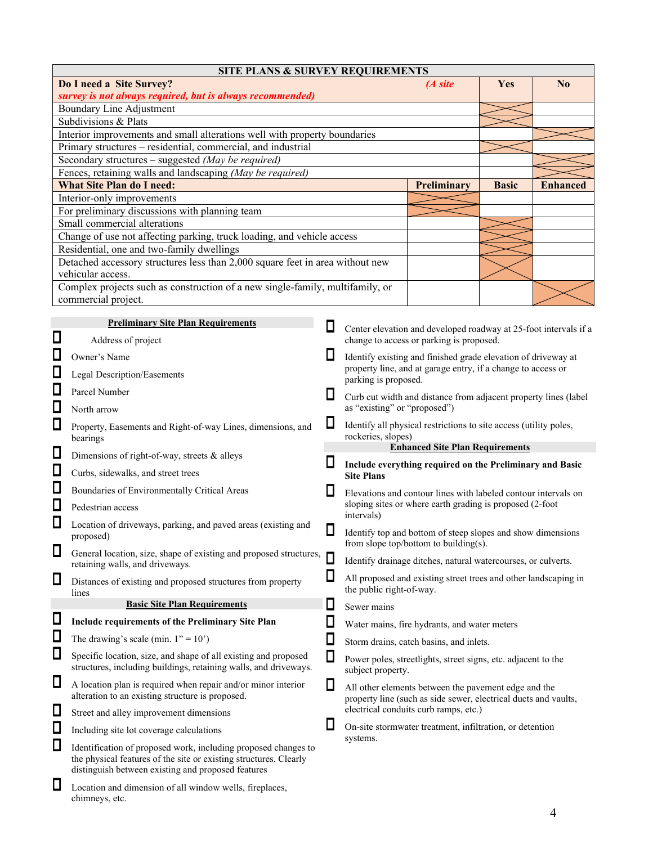|                                                           | <b>SITE PLANS &amp; SURVEY REQUIREMENTS</b>                                                                                         |        |                              |                                                                                                                         |              |                 |  |  |
|-----------------------------------------------------------|-------------------------------------------------------------------------------------------------------------------------------------|--------|------------------------------|-------------------------------------------------------------------------------------------------------------------------|--------------|-----------------|--|--|
|                                                           | Do I need a Site Survey?                                                                                                            |        |                              | (A site                                                                                                                 | Yes          | $\bf No$        |  |  |
| survey is not always required, but is always recommended) |                                                                                                                                     |        |                              |                                                                                                                         |              |                 |  |  |
| Boundary Line Adjustment                                  |                                                                                                                                     |        |                              |                                                                                                                         |              |                 |  |  |
|                                                           | Subdivisions & Plats                                                                                                                |        |                              |                                                                                                                         |              |                 |  |  |
|                                                           | Interior improvements and small alterations well with property boundaries                                                           |        |                              |                                                                                                                         |              |                 |  |  |
|                                                           | Primary structures - residential, commercial, and industrial                                                                        |        |                              |                                                                                                                         |              |                 |  |  |
|                                                           | Secondary structures - suggested (May be required)                                                                                  |        |                              |                                                                                                                         |              |                 |  |  |
|                                                           | Fences, retaining walls and landscaping (May be required)                                                                           |        |                              |                                                                                                                         |              |                 |  |  |
|                                                           | <b>What Site Plan do I need:</b>                                                                                                    |        |                              | <b>Preliminary</b>                                                                                                      | <b>Basic</b> | <b>Enhanced</b> |  |  |
|                                                           | Interior-only improvements                                                                                                          |        |                              |                                                                                                                         |              |                 |  |  |
|                                                           | For preliminary discussions with planning team                                                                                      |        |                              |                                                                                                                         |              |                 |  |  |
|                                                           | Small commercial alterations                                                                                                        |        |                              |                                                                                                                         |              |                 |  |  |
|                                                           | Change of use not affecting parking, truck loading, and vehicle access                                                              |        |                              |                                                                                                                         |              |                 |  |  |
|                                                           | Residential, one and two-family dwellings                                                                                           |        |                              |                                                                                                                         |              |                 |  |  |
|                                                           | Detached accessory structures less than 2,000 square feet in area without new                                                       |        |                              |                                                                                                                         |              |                 |  |  |
|                                                           | vehicular access.                                                                                                                   |        |                              |                                                                                                                         |              |                 |  |  |
|                                                           | Complex projects such as construction of a new single-family, multifamily, or                                                       |        |                              |                                                                                                                         |              |                 |  |  |
|                                                           | commercial project.                                                                                                                 |        |                              |                                                                                                                         |              |                 |  |  |
|                                                           | <b>Preliminary Site Plan Requirements</b>                                                                                           |        |                              |                                                                                                                         |              |                 |  |  |
| ◨                                                         |                                                                                                                                     | ப      |                              | Center elevation and developed roadway at 25-foot intervals if a                                                        |              |                 |  |  |
| $\Box$                                                    | Address of project<br>Owner's Name                                                                                                  | L      |                              | change to access or parking is proposed.<br>Identify existing and finished grade elevation of driveway at               |              |                 |  |  |
| $\Box$                                                    |                                                                                                                                     |        |                              | property line, and at garage entry, if a change to access or                                                            |              |                 |  |  |
| $\Box$                                                    | Legal Description/Easements<br>Parcel Number                                                                                        |        | parking is proposed.         |                                                                                                                         |              |                 |  |  |
| $\Box$                                                    |                                                                                                                                     | Ц      | as "existing" or "proposed") | Curb cut width and distance from adjacent property lines (label                                                         |              |                 |  |  |
|                                                           | North arrow                                                                                                                         |        |                              |                                                                                                                         |              |                 |  |  |
| $\Box$                                                    | Property, Easements and Right-of-way Lines, dimensions, and<br>bearings                                                             | ⊔      | rockeries, slopes)           | Identify all physical restrictions to site access (utility poles,                                                       |              |                 |  |  |
| ◘                                                         | Dimensions of right-of-way, streets & alleys                                                                                        | $\Box$ |                              | <b>Enhanced Site Plan Requirements</b>                                                                                  |              |                 |  |  |
| $\Box$                                                    | Curbs, sidewalks, and street trees                                                                                                  |        | <b>Site Plans</b>            | Include everything required on the Preliminary and Basic                                                                |              |                 |  |  |
| $\Box$                                                    | Boundaries of Environmentally Critical Areas                                                                                        | Ц      |                              | Elevations and contour lines with labeled contour intervals on                                                          |              |                 |  |  |
| ◨                                                         | Pedestrian access                                                                                                                   |        | intervals)                   | sloping sites or where earth grading is proposed (2-foot                                                                |              |                 |  |  |
| $\Box$                                                    | Location of driveways, parking, and paved areas (existing and<br>proposed)                                                          | ◫      |                              | Identify top and bottom of steep slopes and show dimensions                                                             |              |                 |  |  |
| ◻                                                         |                                                                                                                                     |        |                              | from slope top/bottom to building(s).                                                                                   |              |                 |  |  |
|                                                           | General location, size, shape of existing and proposed structures,<br>retaining walls, and driveways.                               | ◨      |                              | Identify drainage ditches, natural watercourses, or culverts.                                                           |              |                 |  |  |
| ◨                                                         | Distances of existing and proposed structures from property<br>lines                                                                | ◨      | the public right-of-way.     | All proposed and existing street trees and other landscaping in                                                         |              |                 |  |  |
|                                                           | <b>Basic Site Plan Requirements</b>                                                                                                 | ∐      | Sewer mains                  |                                                                                                                         |              |                 |  |  |
| ◨                                                         | Include requirements of the Preliminary Site Plan                                                                                   | ◨      |                              | Water mains, fire hydrants, and water meters                                                                            |              |                 |  |  |
| $\Box$                                                    | The drawing's scale (min. $1" = 10'$ )                                                                                              | ◨      |                              | Storm drains, catch basins, and inlets.                                                                                 |              |                 |  |  |
| ◨                                                         | Specific location, size, and shape of all existing and proposed<br>structures, including buildings, retaining walls, and driveways. | Π      | subject property.            | Power poles, streetlights, street signs, etc. adjacent to the                                                           |              |                 |  |  |
| ◨                                                         | A location plan is required when repair and/or minor interior<br>alteration to an existing structure is proposed.                   | Ц      |                              | All other elements between the pavement edge and the<br>property line (such as side sewer, electrical ducts and vaults, |              |                 |  |  |
| ◨                                                         | Street and alley improvement dimensions                                                                                             |        |                              | electrical conduits curb ramps, etc.)                                                                                   |              |                 |  |  |
| ◘                                                         | Including site lot coverage calculations                                                                                            | Ц      |                              | On-site stormwater treatment, infiltration, or detention                                                                |              |                 |  |  |
| Ω                                                         | systems.<br>Identification of proposed work, including proposed changes to                                                          |        |                              |                                                                                                                         |              |                 |  |  |

the physical features of the site or existing structures. Clearly

distinguish between existing and proposed features **L** Location and dimension of all window wells, fireplaces,

chimneys, etc.